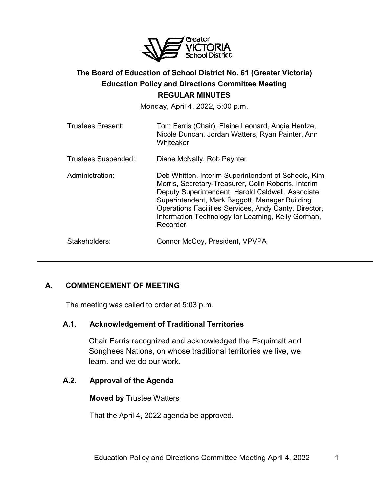

# **The Board of Education of School District No. 61 (Greater Victoria) Education Policy and Directions Committee Meeting REGULAR MINUTES**

Monday, April 4, 2022, 5:00 p.m.

| <b>Trustees Present:</b>   | Tom Ferris (Chair), Elaine Leonard, Angie Hentze,<br>Nicole Duncan, Jordan Watters, Ryan Painter, Ann<br>Whiteaker                                                                                                                                                                                                                           |
|----------------------------|----------------------------------------------------------------------------------------------------------------------------------------------------------------------------------------------------------------------------------------------------------------------------------------------------------------------------------------------|
| <b>Trustees Suspended:</b> | Diane McNally, Rob Paynter                                                                                                                                                                                                                                                                                                                   |
| Administration:            | Deb Whitten, Interim Superintendent of Schools, Kim<br>Morris, Secretary-Treasurer, Colin Roberts, Interim<br>Deputy Superintendent, Harold Caldwell, Associate<br>Superintendent, Mark Baggott, Manager Building<br>Operations Facilities Services, Andy Canty, Director,<br>Information Technology for Learning, Kelly Gorman,<br>Recorder |
| Stakeholders:              | Connor McCoy, President, VPVPA                                                                                                                                                                                                                                                                                                               |

# **A. COMMENCEMENT OF MEETING**

The meeting was called to order at 5:03 p.m.

# **A.1. Acknowledgement of Traditional Territories**

Chair Ferris recognized and acknowledged the Esquimalt and Songhees Nations, on whose traditional territories we live, we learn, and we do our work.

# **A.2. Approval of the Agenda**

**Moved by** Trustee Watters

That the April 4, 2022 agenda be approved.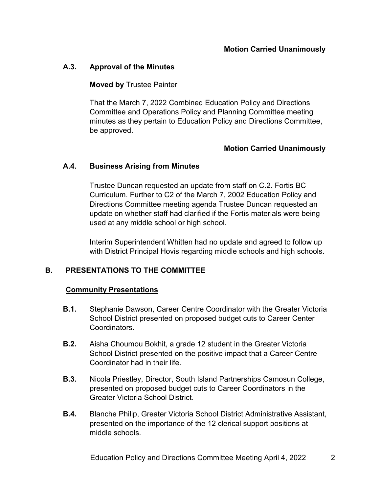# **A.3. Approval of the Minutes**

## **Moved by** Trustee Painter

That the March 7, 2022 Combined Education Policy and Directions Committee and Operations Policy and Planning Committee meeting minutes as they pertain to Education Policy and Directions Committee, be approved.

### **Motion Carried Unanimously**

### **A.4. Business Arising from Minutes**

Trustee Duncan requested an update from staff on C.2. Fortis BC Curriculum. Further to C2 of the March 7, 2002 Education Policy and Directions Committee meeting agenda Trustee Duncan requested an update on whether staff had clarified if the Fortis materials were being used at any middle school or high school.

Interim Superintendent Whitten had no update and agreed to follow up with District Principal Hovis regarding middle schools and high schools.

# **B. PRESENTATIONS TO THE COMMITTEE**

#### **Community Presentations**

- **B.1.** Stephanie Dawson, Career Centre Coordinator with the Greater Victoria School District presented on proposed budget cuts to Career Center Coordinators.
- **B.2.** Aisha Choumou Bokhit, a grade 12 student in the Greater Victoria School District presented on the positive impact that a Career Centre Coordinator had in their life.
- **B.3.** Nicola Priestley, Director, South Island Partnerships Camosun College, presented on proposed budget cuts to Career Coordinators in the Greater Victoria School District.
- **B.4.** Blanche Philip, Greater Victoria School District Administrative Assistant, presented on the importance of the 12 clerical support positions at middle schools.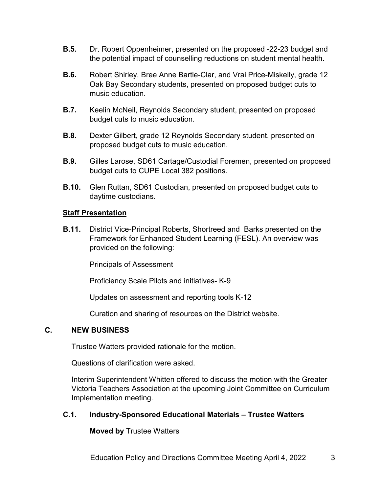- **B.5.** Dr. Robert Oppenheimer, presented on the proposed -22-23 budget and the potential impact of counselling reductions on student mental health.
- **B.6.** Robert Shirley, Bree Anne Bartle-Clar, and Vrai Price-Miskelly, grade 12 Oak Bay Secondary students, presented on proposed budget cuts to music education.
- **B.7.** Keelin McNeil, Reynolds Secondary student, presented on proposed budget cuts to music education.
- **B.8.** Dexter Gilbert, grade 12 Reynolds Secondary student, presented on proposed budget cuts to music education.
- **B.9.** Gilles Larose, SD61 Cartage/Custodial Foremen, presented on proposed budget cuts to CUPE Local 382 positions.
- **B.10.** Glen Ruttan, SD61 Custodian, presented on proposed budget cuts to daytime custodians.

### **Staff Presentation**

**B.11.** District Vice-Principal Roberts, Shortreed and Barks presented on the Framework for Enhanced Student Learning (FESL). An overview was provided on the following:

Principals of Assessment

Proficiency Scale Pilots and initiatives- K-9

Updates on assessment and reporting tools K-12

Curation and sharing of resources on the District website.

# **C. NEW BUSINESS**

Trustee Watters provided rationale for the motion.

Questions of clarification were asked.

Interim Superintendent Whitten offered to discuss the motion with the Greater Victoria Teachers Association at the upcoming Joint Committee on Curriculum Implementation meeting.

#### **C.1. Industry-Sponsored Educational Materials – Trustee Watters**

**Moved by** Trustee Watters

Education Policy and Directions Committee Meeting April 4, 2022 3